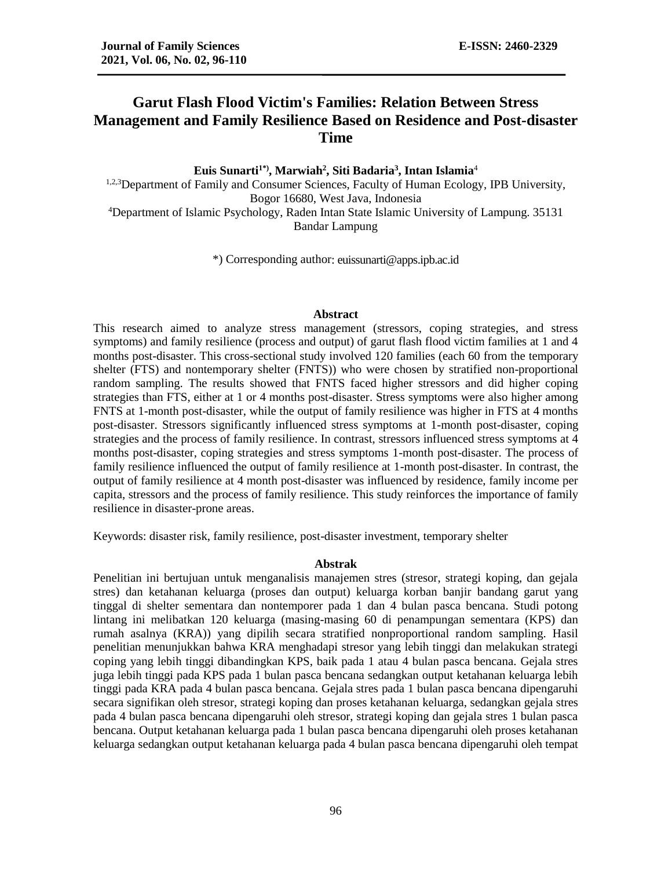# **Garut Flash Flood Victim's Families: Relation Between Stress Management and Family Resilience Based on Residence and Post-disaster Time**

**Euis Sunarti1\*), Marwiah<sup>2</sup> , Siti Badaria<sup>3</sup> , Intan Islamia**<sup>4</sup> <sup>1,2,3</sup>Department of Family and Consumer Sciences, Faculty of Human Ecology, IPB University, Bogor 16680, West Java, Indonesia <sup>4</sup>Department of Islamic Psychology, Raden Intan State Islamic University of Lampung. 35131 Bandar Lampung

\*) Corresponding author: euissunarti@apps.ipb.ac.id

#### **Abstract**

This research aimed to analyze stress management (stressors, coping strategies, and stress symptoms) and family resilience (process and output) of garut flash flood victim families at 1 and 4 months post-disaster. This cross-sectional study involved 120 families (each 60 from the temporary shelter (FTS) and nontemporary shelter (FNTS)) who were chosen by stratified non-proportional random sampling. The results showed that FNTS faced higher stressors and did higher coping strategies than FTS, either at 1 or 4 months post-disaster. Stress symptoms were also higher among FNTS at 1-month post-disaster, while the output of family resilience was higher in FTS at 4 months post-disaster. Stressors significantly influenced stress symptoms at 1-month post-disaster, coping strategies and the process of family resilience. In contrast, stressors influenced stress symptoms at 4 months post-disaster, coping strategies and stress symptoms 1-month post-disaster. The process of family resilience influenced the output of family resilience at 1-month post-disaster. In contrast, the output of family resilience at 4 month post-disaster was influenced by residence, family income per capita, stressors and the process of family resilience. This study reinforces the importance of family resilience in disaster-prone areas.

Keywords: disaster risk, family resilience, post-disaster investment, temporary shelter

#### **Abstrak**

Penelitian ini bertujuan untuk menganalisis manajemen stres (stresor, strategi koping, dan gejala stres) dan ketahanan keluarga (proses dan output) keluarga korban banjir bandang garut yang tinggal di shelter sementara dan nontemporer pada 1 dan 4 bulan pasca bencana. Studi potong lintang ini melibatkan 120 keluarga (masing-masing 60 di penampungan sementara (KPS) dan rumah asalnya (KRA)) yang dipilih secara stratified nonproportional random sampling. Hasil penelitian menunjukkan bahwa KRA menghadapi stresor yang lebih tinggi dan melakukan strategi coping yang lebih tinggi dibandingkan KPS, baik pada 1 atau 4 bulan pasca bencana. Gejala stres juga lebih tinggi pada KPS pada 1 bulan pasca bencana sedangkan output ketahanan keluarga lebih tinggi pada KRA pada 4 bulan pasca bencana. Gejala stres pada 1 bulan pasca bencana dipengaruhi secara signifikan oleh stresor, strategi koping dan proses ketahanan keluarga, sedangkan gejala stres pada 4 bulan pasca bencana dipengaruhi oleh stresor, strategi koping dan gejala stres 1 bulan pasca bencana. Output ketahanan keluarga pada 1 bulan pasca bencana dipengaruhi oleh proses ketahanan keluarga sedangkan output ketahanan keluarga pada 4 bulan pasca bencana dipengaruhi oleh tempat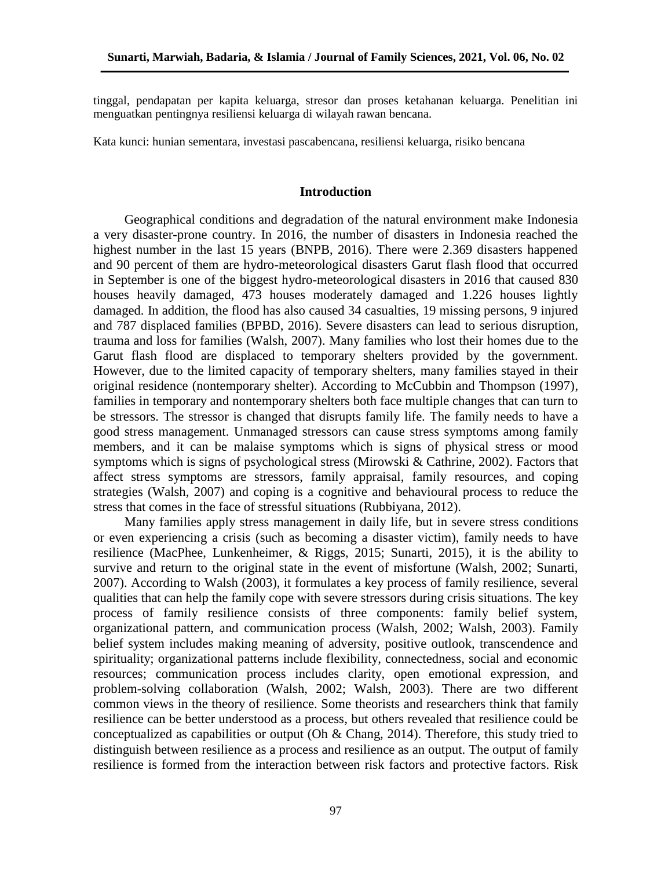tinggal, pendapatan per kapita keluarga, stresor dan proses ketahanan keluarga. Penelitian ini menguatkan pentingnya resiliensi keluarga di wilayah rawan bencana.

Kata kunci: hunian sementara, investasi pascabencana, resiliensi keluarga, risiko bencana

### **Introduction**

Geographical conditions and degradation of the natural environment make Indonesia a very disaster-prone country. In 2016, the number of disasters in Indonesia reached the highest number in the last 15 years (BNPB, 2016). There were 2.369 disasters happened and 90 percent of them are hydro-meteorological disasters Garut flash flood that occurred in September is one of the biggest hydro-meteorological disasters in 2016 that caused 830 houses heavily damaged, 473 houses moderately damaged and 1.226 houses lightly damaged. In addition, the flood has also caused 34 casualties, 19 missing persons, 9 injured and 787 displaced families (BPBD, 2016). Severe disasters can lead to serious disruption, trauma and loss for families (Walsh, 2007). Many families who lost their homes due to the Garut flash flood are displaced to temporary shelters provided by the government. However, due to the limited capacity of temporary shelters, many families stayed in their original residence (nontemporary shelter). According to McCubbin and Thompson (1997), families in temporary and nontemporary shelters both face multiple changes that can turn to be stressors. The stressor is changed that disrupts family life. The family needs to have a good stress management. Unmanaged stressors can cause stress symptoms among family members, and it can be malaise symptoms which is signs of physical stress or mood symptoms which is signs of psychological stress (Mirowski & Cathrine, 2002). Factors that affect stress symptoms are stressors, family appraisal, family resources, and coping strategies (Walsh, 2007) and coping is a cognitive and behavioural process to reduce the stress that comes in the face of stressful situations (Rubbiyana, 2012).

Many families apply stress management in daily life, but in severe stress conditions or even experiencing a crisis (such as becoming a disaster victim), family needs to have resilience (MacPhee, Lunkenheimer, & Riggs, 2015; Sunarti, 2015), it is the ability to survive and return to the original state in the event of misfortune (Walsh, 2002; Sunarti, 2007). According to Walsh (2003), it formulates a key process of family resilience, several qualities that can help the family cope with severe stressors during crisis situations. The key process of family resilience consists of three components: family belief system, organizational pattern, and communication process (Walsh, 2002; Walsh, 2003). Family belief system includes making meaning of adversity, positive outlook, transcendence and spirituality; organizational patterns include flexibility, connectedness, social and economic resources; communication process includes clarity, open emotional expression, and problem-solving collaboration (Walsh, 2002; Walsh, 2003). There are two different common views in the theory of resilience. Some theorists and researchers think that family resilience can be better understood as a process, but others revealed that resilience could be conceptualized as capabilities or output (Oh & Chang, 2014). Therefore, this study tried to distinguish between resilience as a process and resilience as an output. The output of family resilience is formed from the interaction between risk factors and protective factors. Risk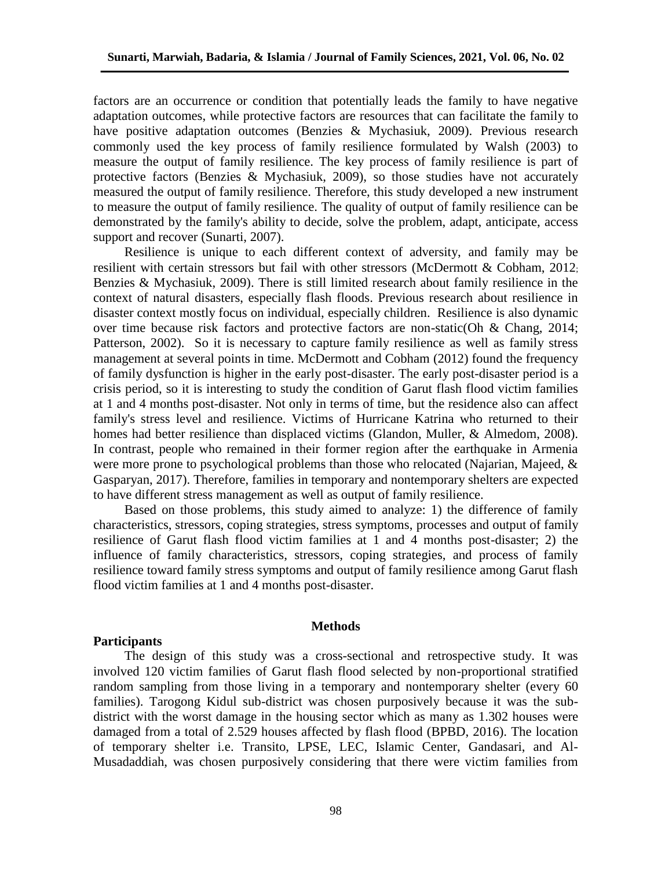factors are an occurrence or condition that potentially leads the family to have negative adaptation outcomes, while protective factors are resources that can facilitate the family to have positive adaptation outcomes (Benzies & Mychasiuk, 2009). Previous research commonly used the key process of family resilience formulated by Walsh (2003) to measure the output of family resilience. The key process of family resilience is part of protective factors (Benzies & Mychasiuk, 2009), so those studies have not accurately measured the output of family resilience. Therefore, this study developed a new instrument to measure the output of family resilience. The quality of output of family resilience can be demonstrated by the family's ability to decide, solve the problem, adapt, anticipate, access support and recover (Sunarti, 2007).

Resilience is unique to each different context of adversity, and family may be resilient with certain stressors but fail with other stressors (McDermott & Cobham, 2012; Benzies & Mychasiuk, 2009). There is still limited research about family resilience in the context of natural disasters, especially flash floods. Previous research about resilience in disaster context mostly focus on individual, especially children. Resilience is also dynamic over time because risk factors and protective factors are non-static(Oh & Chang, 2014; Patterson, 2002). So it is necessary to capture family resilience as well as family stress management at several points in time. McDermott and Cobham (2012) found the frequency of family dysfunction is higher in the early post-disaster. The early post-disaster period is a crisis period, so it is interesting to study the condition of Garut flash flood victim families at 1 and 4 months post-disaster. Not only in terms of time, but the residence also can affect family's stress level and resilience. Victims of Hurricane Katrina who returned to their homes had better resilience than displaced victims (Glandon, Muller, & Almedom, 2008). In contrast, people who remained in their former region after the earthquake in Armenia were more prone to psychological problems than those who relocated (Najarian, Majeed, & Gasparyan, 2017). Therefore, families in temporary and nontemporary shelters are expected to have different stress management as well as output of family resilience.

Based on those problems, this study aimed to analyze: 1) the difference of family characteristics, stressors, coping strategies, stress symptoms, processes and output of family resilience of Garut flash flood victim families at 1 and 4 months post-disaster; 2) the influence of family characteristics, stressors, coping strategies, and process of family resilience toward family stress symptoms and output of family resilience among Garut flash flood victim families at 1 and 4 months post-disaster.

#### **Methods**

# **Participants**

The design of this study was a cross-sectional and retrospective study. It was involved 120 victim families of Garut flash flood selected by non-proportional stratified random sampling from those living in a temporary and nontemporary shelter (every 60 families). Tarogong Kidul sub-district was chosen purposively because it was the subdistrict with the worst damage in the housing sector which as many as 1.302 houses were damaged from a total of 2.529 houses affected by flash flood (BPBD, 2016). The location of temporary shelter i.e. Transito, LPSE, LEC, Islamic Center, Gandasari, and Al-Musadaddiah, was chosen purposively considering that there were victim families from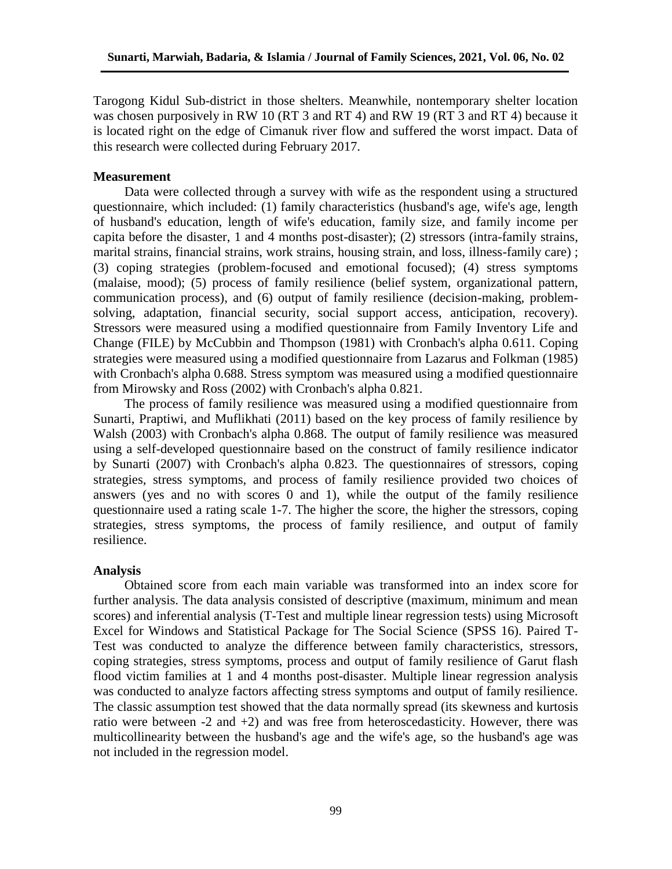Tarogong Kidul Sub-district in those shelters. Meanwhile, nontemporary shelter location was chosen purposively in RW 10 (RT 3 and RT 4) and RW 19 (RT 3 and RT 4) because it is located right on the edge of Cimanuk river flow and suffered the worst impact. Data of this research were collected during February 2017.

# **Measurement**

Data were collected through a survey with wife as the respondent using a structured questionnaire, which included: (1) family characteristics (husband's age, wife's age, length of husband's education, length of wife's education, family size, and family income per capita before the disaster, 1 and 4 months post-disaster); (2) stressors (intra-family strains, marital strains, financial strains, work strains, housing strain, and loss, illness-family care) ; (3) coping strategies (problem-focused and emotional focused); (4) stress symptoms (malaise, mood); (5) process of family resilience (belief system, organizational pattern, communication process), and (6) output of family resilience (decision-making, problemsolving, adaptation, financial security, social support access, anticipation, recovery). Stressors were measured using a modified questionnaire from Family Inventory Life and Change (FILE) by McCubbin and Thompson (1981) with Cronbach's alpha 0.611. Coping strategies were measured using a modified questionnaire from Lazarus and Folkman (1985) with Cronbach's alpha 0.688. Stress symptom was measured using a modified questionnaire from Mirowsky and Ross (2002) with Cronbach's alpha 0.821.

The process of family resilience was measured using a modified questionnaire from Sunarti, Praptiwi, and Muflikhati (2011) based on the key process of family resilience by Walsh (2003) with Cronbach's alpha 0.868. The output of family resilience was measured using a self-developed questionnaire based on the construct of family resilience indicator by Sunarti (2007) with Cronbach's alpha 0.823. The questionnaires of stressors, coping strategies, stress symptoms, and process of family resilience provided two choices of answers (yes and no with scores 0 and 1), while the output of the family resilience questionnaire used a rating scale 1-7. The higher the score, the higher the stressors, coping strategies, stress symptoms, the process of family resilience, and output of family resilience.

# **Analysis**

Obtained score from each main variable was transformed into an index score for further analysis. The data analysis consisted of descriptive (maximum, minimum and mean scores) and inferential analysis (T-Test and multiple linear regression tests) using Microsoft Excel for Windows and Statistical Package for The Social Science (SPSS 16). Paired T-Test was conducted to analyze the difference between family characteristics, stressors, coping strategies, stress symptoms, process and output of family resilience of Garut flash flood victim families at 1 and 4 months post-disaster. Multiple linear regression analysis was conducted to analyze factors affecting stress symptoms and output of family resilience. The classic assumption test showed that the data normally spread (its skewness and kurtosis ratio were between  $-2$  and  $+2$ ) and was free from heteroscedasticity. However, there was multicollinearity between the husband's age and the wife's age, so the husband's age was not included in the regression model.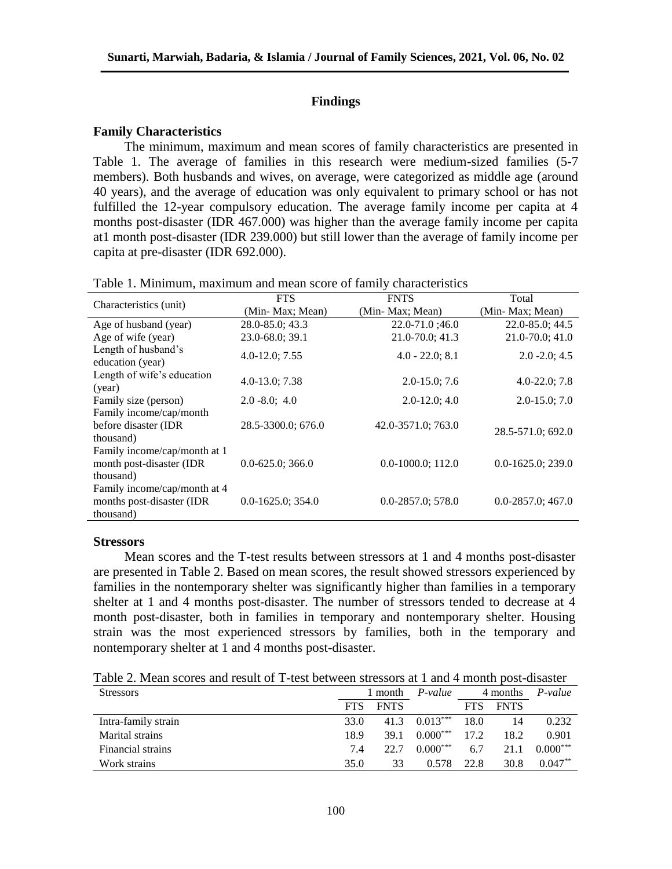# **Findings**

#### **Family Characteristics**

The minimum, maximum and mean scores of family characteristics are presented in Table 1. The average of families in this research were medium-sized families (5-7 members). Both husbands and wives, on average, were categorized as middle age (around 40 years), and the average of education was only equivalent to primary school or has not fulfilled the 12-year compulsory education. The average family income per capita at 4 months post-disaster (IDR 467.000) was higher than the average family income per capita at1 month post-disaster (IDR 239.000) but still lower than the average of family income per capita at pre-disaster (IDR 692.000).

|                                                                        | <b>FTS</b>             | <b>FNTS</b>            | Total                  |  |  |
|------------------------------------------------------------------------|------------------------|------------------------|------------------------|--|--|
| Characteristics (unit)                                                 | (Min- Max; Mean)       | (Min- Max; Mean)       | (Min-Max; Mean)        |  |  |
| Age of husband (year)                                                  | 28.0-85.0; 43.3        | $22.0 - 71.0$ ;46.0    | $22.0 - 85.0$ ; 44.5   |  |  |
| Age of wife (year)                                                     | 23.0-68.0; 39.1        | 21.0-70.0; 41.3        | $21.0 - 70.0$ ; 41.0   |  |  |
| Length of husband's<br>education (year)                                | $4.0 - 12.0; 7.55$     | $4.0 - 22.0; 8.1$      | $2.0 - 2.0; 4.5$       |  |  |
| Length of wife's education<br>(year)                                   | $4.0 - 13.0; 7.38$     | $2.0 - 15.0$ ; 7.6     | $4.0 - 22.0; 7.8$      |  |  |
| Family size (person)                                                   | $2.0 - 8.0; 4.0$       | $2.0 - 12.0$ ; 4.0     | $2.0 - 15.0; 7.0$      |  |  |
| Family income/cap/month<br>before disaster (IDR<br>thousand)           | 28.5-3300.0; 676.0     | 42.0-3571.0; 763.0     | 28.5-571.0; 692.0      |  |  |
| Family income/cap/month at 1<br>month post-disaster (IDR<br>thousand)  | $0.0 - 625.0$ ; 366.0  | $0.0-1000.0; 112.0$    | $0.0 - 1625.0$ ; 239.0 |  |  |
| Family income/cap/month at 4<br>months post-disaster (IDR<br>thousand) | $0.0 - 1625.0$ ; 354.0 | $0.0 - 2857.0$ ; 578.0 | $0.0 - 2857.0$ ; 467.0 |  |  |

Table 1. Minimum, maximum and mean score of family characteristics

#### **Stressors**

Mean scores and the T-test results between stressors at 1 and 4 months post-disaster are presented in Table 2. Based on mean scores, the result showed stressors experienced by families in the nontemporary shelter was significantly higher than families in a temporary shelter at 1 and 4 months post-disaster. The number of stressors tended to decrease at 4 month post-disaster, both in families in temporary and nontemporary shelter. Housing strain was the most experienced stressors by families, both in the temporary and nontemporary shelter at 1 and 4 months post-disaster.

Table 2. Mean scores and result of T-test between stressors at 1 and 4 month post-disaster

| <b>Stressors</b>    | l month    |             | P-value    | 4 months   |             | $P-value$  |
|---------------------|------------|-------------|------------|------------|-------------|------------|
|                     | <b>FTS</b> | <b>FNTS</b> |            | <b>FTS</b> | <b>FNTS</b> |            |
| Intra-family strain | 33.0       | 41.3        | $0.013***$ | 18.0       | 14          | 0.232      |
| Marital strains     | 18.9       | 39.1        | $0.000***$ | 17.2       | 18.2        | 0.901      |
| Financial strains   | 7.4        | 22.7        | $0.000***$ | 6.7        | 21.1        | $0.000***$ |
| Work strains        | 35.0       | 33          | 0.578      | 22.8       | 30.8        | $0.047**$  |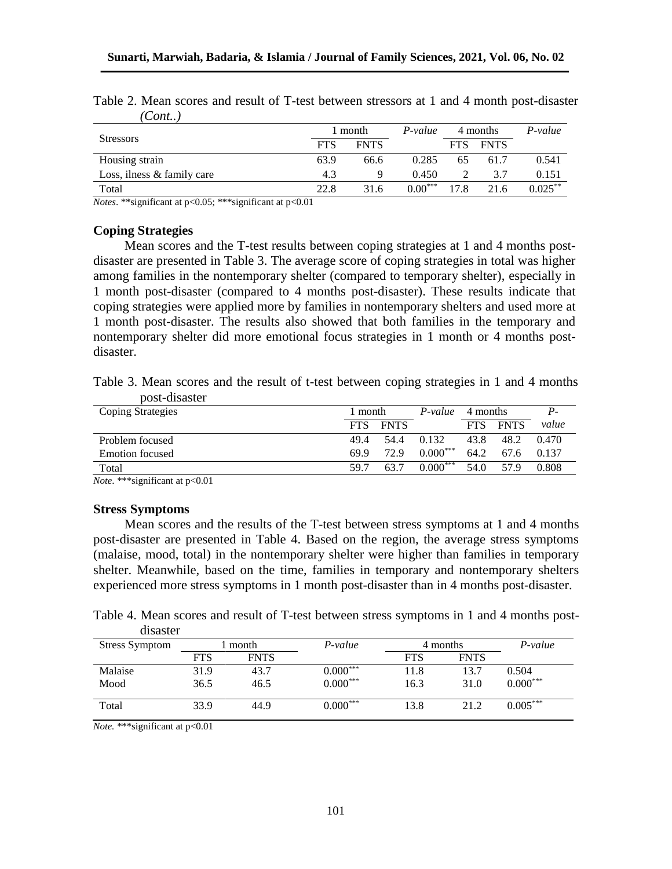|                              |            | 1 month     | P-value   |            | 4 months    | $P-value$  |
|------------------------------|------------|-------------|-----------|------------|-------------|------------|
| <b>Stressors</b>             | <b>FTS</b> | <b>FNTS</b> |           | <b>FTS</b> | <b>FNTS</b> |            |
| Housing strain               | 63.9       | 66.6        | 0.285     | 65         | 61.7        | 0.541      |
| Loss, ilness $&$ family care | 4.3        |             | 0.450     |            | 3.7         | 0.151      |
| Total                        | 22.8       | 31.6        | $0.00***$ | 17.8       | 21.6        | $0.025***$ |

Table 2. Mean scores and result of T-test between stressors at 1 and 4 month post-disaster *(Cont..)*

*Notes*. \*\*significant at p<0.05; \*\*\*significant at p<0.01

# **Coping Strategies**

Mean scores and the T-test results between coping strategies at 1 and 4 months postdisaster are presented in Table 3. The average score of coping strategies in total was higher among families in the nontemporary shelter (compared to temporary shelter), especially in 1 month post-disaster (compared to 4 months post-disaster). These results indicate that coping strategies were applied more by families in nontemporary shelters and used more at 1 month post-disaster. The results also showed that both families in the temporary and nontemporary shelter did more emotional focus strategies in 1 month or 4 months postdisaster.

Table 3. Mean scores and the result of t-test between coping strategies in 1 and 4 months post-disaster

| <b>Coping Strategies</b> | 1 month    |             | P-value    | 4 months   |             | Р.    |
|--------------------------|------------|-------------|------------|------------|-------------|-------|
|                          | <b>FTS</b> | <b>FNTS</b> |            | <b>FTS</b> | <b>FNTS</b> | value |
| Problem focused          | 49.4       | 54.4        | 0.132      | 43.8       | 48.2        | 0.470 |
| Emotion focused          | 69.9       | 72.9        | $0.000***$ | 64.2       | 67.6        | 0.137 |
| Total                    | 59 7       | 63.7        | $0.000***$ | 54.0       | 57 Q        | 0.808 |
|                          |            |             |            |            |             |       |

*Note*. \*\*\*significant at p<0.01

# **Stress Symptoms**

Mean scores and the results of the T-test between stress symptoms at 1 and 4 months post-disaster are presented in Table 4. Based on the region, the average stress symptoms (malaise, mood, total) in the nontemporary shelter were higher than families in temporary shelter. Meanwhile, based on the time, families in temporary and nontemporary shelters experienced more stress symptoms in 1 month post-disaster than in 4 months post-disaster.

Table 4. Mean scores and result of T-test between stress symptoms in 1 and 4 months postdisaster

| <b>Stress Symptom</b> | month      |             | $P-value$  | 4 months   |             | $P-value$  |
|-----------------------|------------|-------------|------------|------------|-------------|------------|
|                       | <b>FTS</b> | <b>FNTS</b> |            | <b>FTS</b> | <b>FNTS</b> |            |
| Malaise               | 31.9       | 43.7        | $0.000***$ | 1.8        | 13.7        | 0.504      |
| Mood                  | 36.5       | 46.5        | $0.000***$ | 16.3       | 31.0        | $0.000***$ |
| Total                 | 33.9       | 44.9        | $0.000***$ | l3.8       | 21.2        | $0.005***$ |

*Note.* \*\*\*significant at p<0.01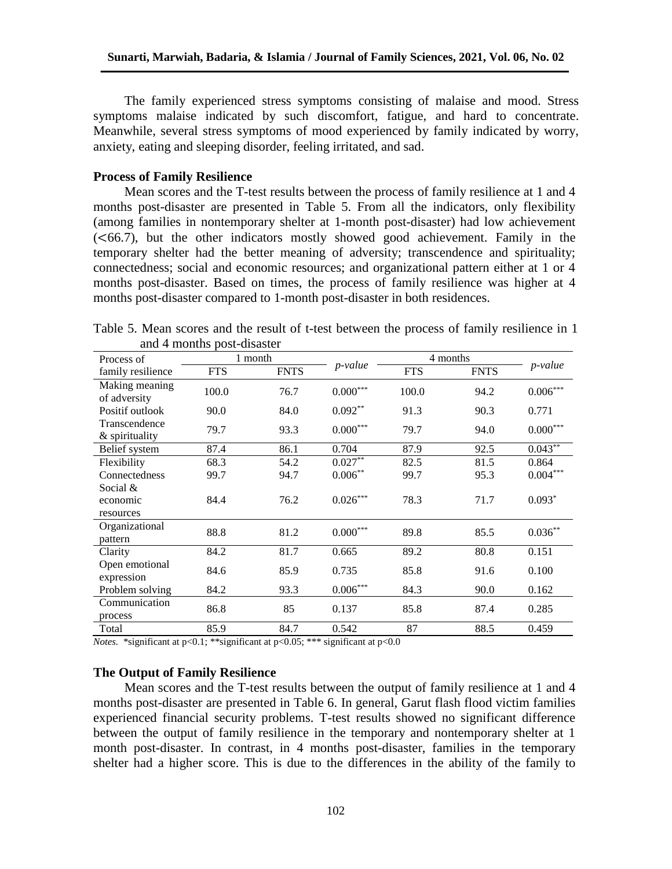The family experienced stress symptoms consisting of malaise and mood. Stress symptoms malaise indicated by such discomfort, fatigue, and hard to concentrate. Meanwhile, several stress symptoms of mood experienced by family indicated by worry, anxiety, eating and sleeping disorder, feeling irritated, and sad.

# **Process of Family Resilience**

Mean scores and the T-test results between the process of family resilience at 1 and 4 months post-disaster are presented in Table 5. From all the indicators, only flexibility (among families in nontemporary shelter at 1-month post-disaster) had low achievement (<66.7), but the other indicators mostly showed good achievement. Family in the temporary shelter had the better meaning of adversity; transcendence and spirituality; connectedness; social and economic resources; and organizational pattern either at 1 or 4 months post-disaster. Based on times, the process of family resilience was higher at 4 months post-disaster compared to 1-month post-disaster in both residences.

Table 5. Mean scores and the result of t-test between the process of family resilience in 1 and 4 months post-disaster

| Process of                          | 1 month    |             |                        |            | 4 months    |                        |
|-------------------------------------|------------|-------------|------------------------|------------|-------------|------------------------|
| family resilience                   | <b>FTS</b> | <b>FNTS</b> | <i>p</i> -value        | <b>FTS</b> | <b>FNTS</b> | p-value                |
| Making meaning<br>of adversity      | 100.0      | 76.7        | $0.000^{\ast\ast\ast}$ | 100.0      | 94.2        | $0.006\sp{***}$        |
| Positif outlook                     | 90.0       | 84.0        | $0.092**$              | 91.3       | 90.3        | 0.771                  |
| Transcendence<br>& spirituality     | 79.7       | 93.3        | $0.000^{***}\,$        | 79.7       | 94.0        | $0.000^{\ast\ast\ast}$ |
| Belief system                       | 87.4       | 86.1        | 0.704                  | 87.9       | 92.5        | $0.043**$              |
| Flexibility                         | 68.3       | 54.2        | $0.027**$              | 82.5       | 81.5        | 0.864                  |
| Connectedness                       | 99.7       | 94.7        | $0.006***$             | 99.7       | 95.3        | $0.004^{***}$          |
| Social $&$<br>economic<br>resources | 84.4       | 76.2        | $0.026***$             | 78.3       | 71.7        | $0.093*$               |
| Organizational<br>pattern           | 88.8       | 81.2        | $0.000^{***}\,$        | 89.8       | 85.5        | $0.036***$             |
| Clarity                             | 84.2       | 81.7        | 0.665                  | 89.2       | 80.8        | 0.151                  |
| Open emotional<br>expression        | 84.6       | 85.9        | 0.735                  | 85.8       | 91.6        | 0.100                  |
| Problem solving                     | 84.2       | 93.3        | $0.006\sp{***}$        | 84.3       | 90.0        | 0.162                  |
| Communication<br>process            | 86.8       | 85          | 0.137                  | 85.8       | 87.4        | 0.285                  |
| Total                               | 85.9       | 84.7        | 0.542                  | 87         | 88.5        | 0.459                  |

*Notes.* \*significant at p<0.1; \*\*significant at p<0.05; \*\*\* significant at p<0.0

# **The Output of Family Resilience**

Mean scores and the T-test results between the output of family resilience at 1 and 4 months post-disaster are presented in Table 6. In general, Garut flash flood victim families experienced financial security problems. T-test results showed no significant difference between the output of family resilience in the temporary and nontemporary shelter at 1 month post-disaster. In contrast, in 4 months post-disaster, families in the temporary shelter had a higher score. This is due to the differences in the ability of the family to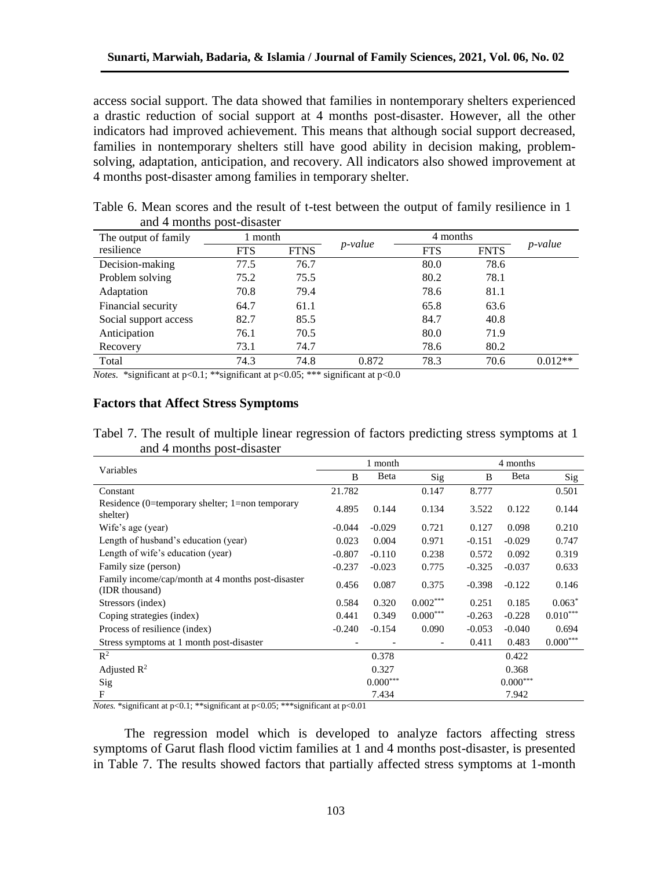access social support. The data showed that families in nontemporary shelters experienced a drastic reduction of social support at 4 months post-disaster. However, all the other indicators had improved achievement. This means that although social support decreased, families in nontemporary shelters still have good ability in decision making, problemsolving, adaptation, anticipation, and recovery. All indicators also showed improvement at 4 months post-disaster among families in temporary shelter.

| The output of family  | 1 month    |             | <i>p</i> -value | 4 months   |             | <i>p</i> -value |
|-----------------------|------------|-------------|-----------------|------------|-------------|-----------------|
| resilience            | <b>FTS</b> | <b>FTNS</b> |                 | <b>FTS</b> | <b>FNTS</b> |                 |
| Decision-making       | 77.5       | 76.7        |                 | 80.0       | 78.6        |                 |
| Problem solving       | 75.2       | 75.5        |                 | 80.2       | 78.1        |                 |
| Adaptation            | 70.8       | 79.4        |                 | 78.6       | 81.1        |                 |
| Financial security    | 64.7       | 61.1        |                 | 65.8       | 63.6        |                 |
| Social support access | 82.7       | 85.5        |                 | 84.7       | 40.8        |                 |
| Anticipation          | 76.1       | 70.5        |                 | 80.0       | 71.9        |                 |
| Recovery              | 73.1       | 74.7        |                 | 78.6       | 80.2        |                 |
| Total                 | 74.3       | 74.8        | 0.872           | 78.3       | 70.6        | $0.012**$       |

Table 6. Mean scores and the result of t-test between the output of family resilience in 1 and 4 months post-disaster

*Notes.* \*significant at p<0.1; \*\*significant at p<0.05; \*\*\* significant at p<0.0

### **Factors that Affect Stress Symptoms**

Tabel 7. The result of multiple linear regression of factors predicting stress symptoms at 1 and 4 months post-disaster

|                                                                     |          | 1 month    |                | 4 months |                        |            |
|---------------------------------------------------------------------|----------|------------|----------------|----------|------------------------|------------|
| Variables                                                           | B        | Beta       | $\mathrm{Sig}$ | B        | Beta                   | Sig        |
| Constant                                                            | 21.782   |            | 0.147          | 8.777    |                        | 0.501      |
| Residence (0=temporary shelter; 1=non temporary<br>shelter)         | 4.895    | 0.144      | 0.134          | 3.522    | 0.122                  | 0.144      |
| Wife's age (year)                                                   | $-0.044$ | $-0.029$   | 0.721          | 0.127    | 0.098                  | 0.210      |
| Length of husband's education (year)                                | 0.023    | 0.004      | 0.971          | $-0.151$ | $-0.029$               | 0.747      |
| Length of wife's education (year)                                   | $-0.807$ | $-0.110$   | 0.238          | 0.572    | 0.092                  | 0.319      |
| Family size (person)                                                | $-0.237$ | $-0.023$   | 0.775          | $-0.325$ | $-0.037$               | 0.633      |
| Family income/cap/month at 4 months post-disaster<br>(IDR thousand) | 0.456    | 0.087      | 0.375          | $-0.398$ | $-0.122$               | 0.146      |
| Stressors (index)                                                   | 0.584    | 0.320      | $0.002***$     | 0.251    | 0.185                  | $0.063*$   |
| Coping strategies (index)                                           | 0.441    | 0.349      | $0.000***$     | $-0.263$ | $-0.228$               | $0.010***$ |
| Process of resilience (index)                                       | $-0.240$ | $-0.154$   | 0.090          | $-0.053$ | $-0.040$               | 0.694      |
| Stress symptoms at 1 month post-disaster                            |          |            |                | 0.411    | 0.483                  | $0.000***$ |
| $\mathbb{R}^2$                                                      |          | 0.378      |                |          | 0.422                  |            |
| Adjusted $R^2$                                                      |          | 0.327      |                |          | 0.368                  |            |
| Sig                                                                 |          | $0.000***$ |                |          | $0.000^{\ast\ast\ast}$ |            |
| F                                                                   |          | 7.434      |                |          | 7.942                  |            |

*Notes.* \*significant at p<0.1; \*\*significant at p<0.05; \*\*\*significant at p<0.01

The regression model which is developed to analyze factors affecting stress symptoms of Garut flash flood victim families at 1 and 4 months post-disaster, is presented in Table 7. The results showed factors that partially affected stress symptoms at 1-month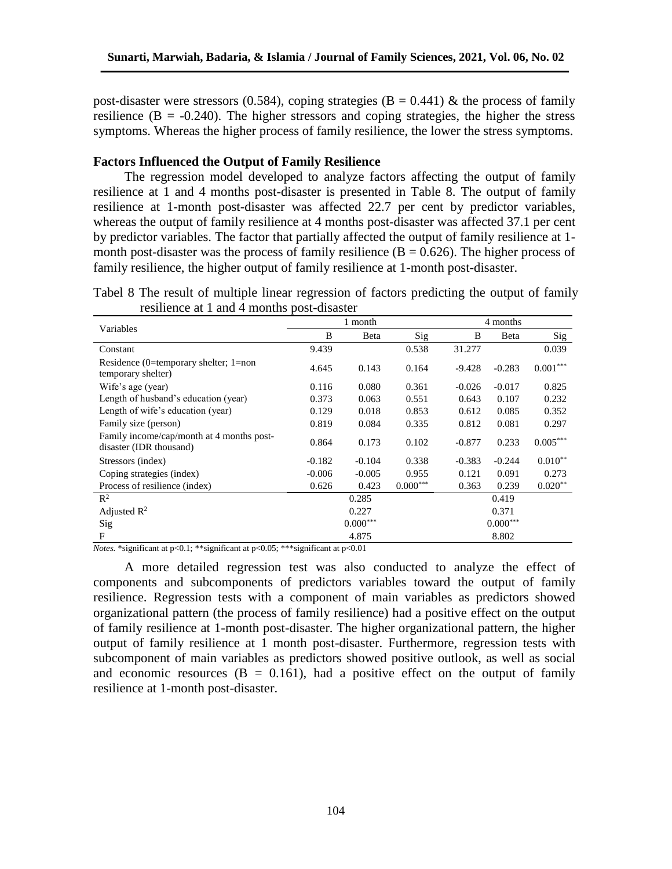post-disaster were stressors (0.584), coping strategies ( $B = 0.441$ ) & the process of family resilience  $(B = -0.240)$ . The higher stressors and coping strategies, the higher the stress symptoms. Whereas the higher process of family resilience, the lower the stress symptoms.

# **Factors Influenced the Output of Family Resilience**

The regression model developed to analyze factors affecting the output of family resilience at 1 and 4 months post-disaster is presented in Table 8. The output of family resilience at 1-month post-disaster was affected 22.7 per cent by predictor variables, whereas the output of family resilience at 4 months post-disaster was affected 37.1 per cent by predictor variables. The factor that partially affected the output of family resilience at 1 month post-disaster was the process of family resilience  $(B = 0.626)$ . The higher process of family resilience, the higher output of family resilience at 1-month post-disaster.

Tabel 8 The result of multiple linear regression of factors predicting the output of family resilience at 1 and 4 months post-disaster

|                                                                      |          | 1 month    |            |          | 4 months   |                |  |
|----------------------------------------------------------------------|----------|------------|------------|----------|------------|----------------|--|
| Variables                                                            | B        | Beta       | Sig        | B        | Beta       | $\mathrm{Sig}$ |  |
| Constant                                                             | 9.439    |            | 0.538      | 31.277   |            | 0.039          |  |
| Residence (0=temporary shelter; 1=non<br>temporary shelter)          | 4.645    | 0.143      | 0.164      | $-9.428$ | $-0.283$   | $0.001***$     |  |
| Wife's age (year)                                                    | 0.116    | 0.080      | 0.361      | $-0.026$ | $-0.017$   | 0.825          |  |
| Length of husband's education (year)                                 | 0.373    | 0.063      | 0.551      | 0.643    | 0.107      | 0.232          |  |
| Length of wife's education (year)                                    | 0.129    | 0.018      | 0.853      | 0.612    | 0.085      | 0.352          |  |
| Family size (person)                                                 | 0.819    | 0.084      | 0.335      | 0.812    | 0.081      | 0.297          |  |
| Family income/cap/month at 4 months post-<br>disaster (IDR thousand) | 0.864    | 0.173      | 0.102      | $-0.877$ | 0.233      | $0.005***$     |  |
| Stressors (index)                                                    | $-0.182$ | $-0.104$   | 0.338      | $-0.383$ | $-0.244$   | $0.010**$      |  |
| Coping strategies (index)                                            | $-0.006$ | $-0.005$   | 0.955      | 0.121    | 0.091      | 0.273          |  |
| Process of resilience (index)                                        | 0.626    | 0.423      | $0.000***$ | 0.363    | 0.239      | $0.020**$      |  |
| $\mathbb{R}^2$                                                       |          | 0.285      |            |          | 0.419      |                |  |
| Adjusted $\mathbb{R}^2$                                              |          | 0.227      |            |          | 0.371      |                |  |
| Sig                                                                  |          | $0.000***$ |            |          | $0.000***$ |                |  |
| F                                                                    |          | 4.875      |            |          | 8.802      |                |  |

*Notes.* \*significant at p<0.1; \*\*significant at p<0.05; \*\*\*significant at p<0.01

A more detailed regression test was also conducted to analyze the effect of components and subcomponents of predictors variables toward the output of family resilience. Regression tests with a component of main variables as predictors showed organizational pattern (the process of family resilience) had a positive effect on the output of family resilience at 1-month post-disaster. The higher organizational pattern, the higher output of family resilience at 1 month post-disaster. Furthermore, regression tests with subcomponent of main variables as predictors showed positive outlook, as well as social and economic resources  $(B = 0.161)$ , had a positive effect on the output of family resilience at 1-month post-disaster.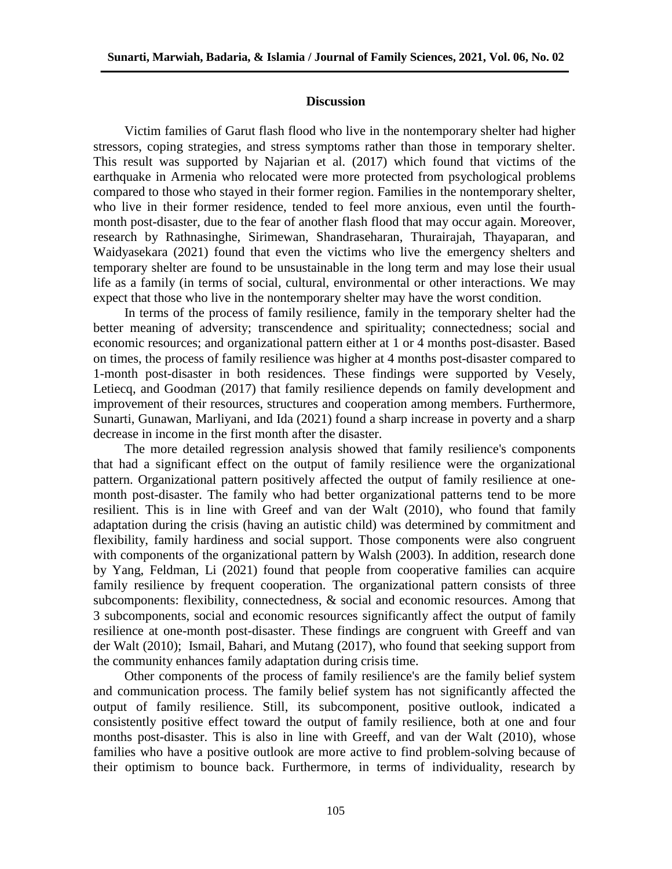### **Discussion**

Victim families of Garut flash flood who live in the nontemporary shelter had higher stressors, coping strategies, and stress symptoms rather than those in temporary shelter. This result was supported by Najarian et al. (2017) which found that victims of the earthquake in Armenia who relocated were more protected from psychological problems compared to those who stayed in their former region. Families in the nontemporary shelter, who live in their former residence, tended to feel more anxious, even until the fourthmonth post-disaster, due to the fear of another flash flood that may occur again. Moreover, research by Rathnasinghe, Sirimewan, Shandraseharan, Thurairajah, Thayaparan, and Waidyasekara (2021) found that even the victims who live the emergency shelters and temporary shelter are found to be unsustainable in the long term and may lose their usual life as a family (in terms of social, cultural, environmental or other interactions. We may expect that those who live in the nontemporary shelter may have the worst condition.

In terms of the process of family resilience, family in the temporary shelter had the better meaning of adversity; transcendence and spirituality; connectedness; social and economic resources; and organizational pattern either at 1 or 4 months post-disaster. Based on times, the process of family resilience was higher at 4 months post-disaster compared to 1-month post-disaster in both residences. These findings were supported by Vesely, Letiecq, and Goodman (2017) that family resilience depends on family development and improvement of their resources, structures and cooperation among members. Furthermore, Sunarti, Gunawan, Marliyani, and Ida (2021) found a sharp increase in poverty and a sharp decrease in income in the first month after the disaster.

The more detailed regression analysis showed that family resilience's components that had a significant effect on the output of family resilience were the organizational pattern. Organizational pattern positively affected the output of family resilience at onemonth post-disaster. The family who had better organizational patterns tend to be more resilient. This is in line with Greef and van der Walt (2010), who found that family adaptation during the crisis (having an autistic child) was determined by commitment and flexibility, family hardiness and social support. Those components were also congruent with components of the organizational pattern by Walsh (2003). In addition, research done by Yang, Feldman, Li (2021) found that people from cooperative families can acquire family resilience by frequent cooperation. The organizational pattern consists of three subcomponents: flexibility, connectedness, & social and economic resources. Among that 3 subcomponents, social and economic resources significantly affect the output of family resilience at one-month post-disaster. These findings are congruent with Greeff and van der Walt (2010); Ismail, Bahari, and Mutang (2017), who found that seeking support from the community enhances family adaptation during crisis time.

Other components of the process of family resilience's are the family belief system and communication process. The family belief system has not significantly affected the output of family resilience. Still, its subcomponent, positive outlook, indicated a consistently positive effect toward the output of family resilience, both at one and four months post-disaster. This is also in line with Greeff, and van der Walt (2010), whose families who have a positive outlook are more active to find problem-solving because of their optimism to bounce back. Furthermore, in terms of individuality, research by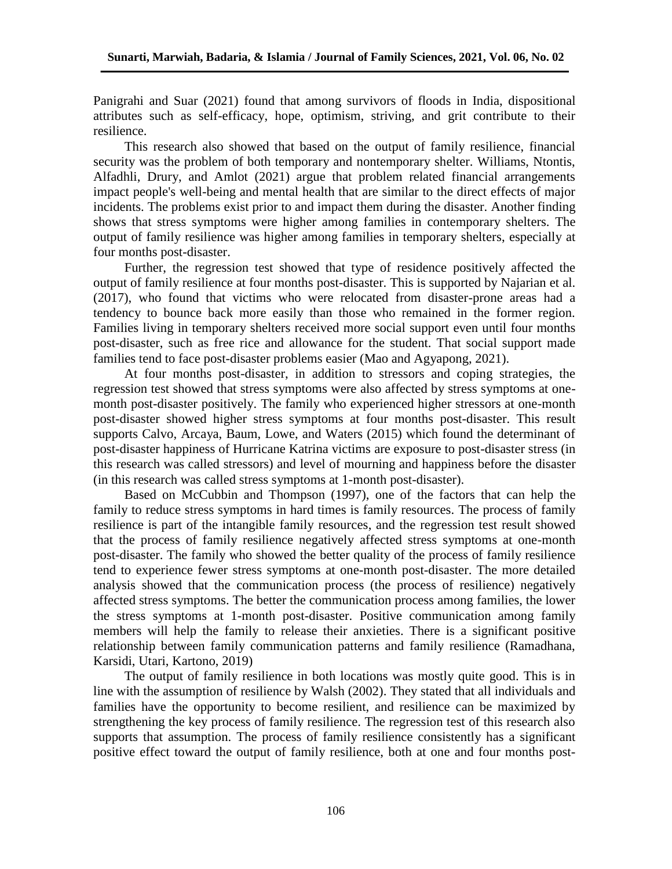Panigrahi and Suar (2021) found that among survivors of floods in India, dispositional attributes such as self-efficacy, hope, optimism, striving, and grit contribute to their resilience.

This research also showed that based on the output of family resilience, financial security was the problem of both temporary and nontemporary shelter. Williams, Ntontis, Alfadhli, Drury, and Amlot (2021) argue that problem related financial arrangements impact people's well-being and mental health that are similar to the direct effects of major incidents. The problems exist prior to and impact them during the disaster. Another finding shows that stress symptoms were higher among families in contemporary shelters. The output of family resilience was higher among families in temporary shelters, especially at four months post-disaster.

Further, the regression test showed that type of residence positively affected the output of family resilience at four months post-disaster. This is supported by Najarian et al. (2017), who found that victims who were relocated from disaster-prone areas had a tendency to bounce back more easily than those who remained in the former region. Families living in temporary shelters received more social support even until four months post-disaster, such as free rice and allowance for the student. That social support made families tend to face post-disaster problems easier (Mao and Agyapong, 2021).

At four months post-disaster, in addition to stressors and coping strategies, the regression test showed that stress symptoms were also affected by stress symptoms at onemonth post-disaster positively. The family who experienced higher stressors at one-month post-disaster showed higher stress symptoms at four months post-disaster. This result supports Calvo, Arcaya, Baum, Lowe, and Waters (2015) which found the determinant of post-disaster happiness of Hurricane Katrina victims are exposure to post-disaster stress (in this research was called stressors) and level of mourning and happiness before the disaster (in this research was called stress symptoms at 1-month post-disaster).

Based on McCubbin and Thompson (1997), one of the factors that can help the family to reduce stress symptoms in hard times is family resources. The process of family resilience is part of the intangible family resources, and the regression test result showed that the process of family resilience negatively affected stress symptoms at one-month post-disaster. The family who showed the better quality of the process of family resilience tend to experience fewer stress symptoms at one-month post-disaster. The more detailed analysis showed that the communication process (the process of resilience) negatively affected stress symptoms. The better the communication process among families, the lower the stress symptoms at 1-month post-disaster. Positive communication among family members will help the family to release their anxieties. There is a significant positive relationship between family communication patterns and family resilience (Ramadhana, Karsidi, Utari, Kartono, 2019)

The output of family resilience in both locations was mostly quite good. This is in line with the assumption of resilience by Walsh (2002). They stated that all individuals and families have the opportunity to become resilient, and resilience can be maximized by strengthening the key process of family resilience. The regression test of this research also supports that assumption. The process of family resilience consistently has a significant positive effect toward the output of family resilience, both at one and four months post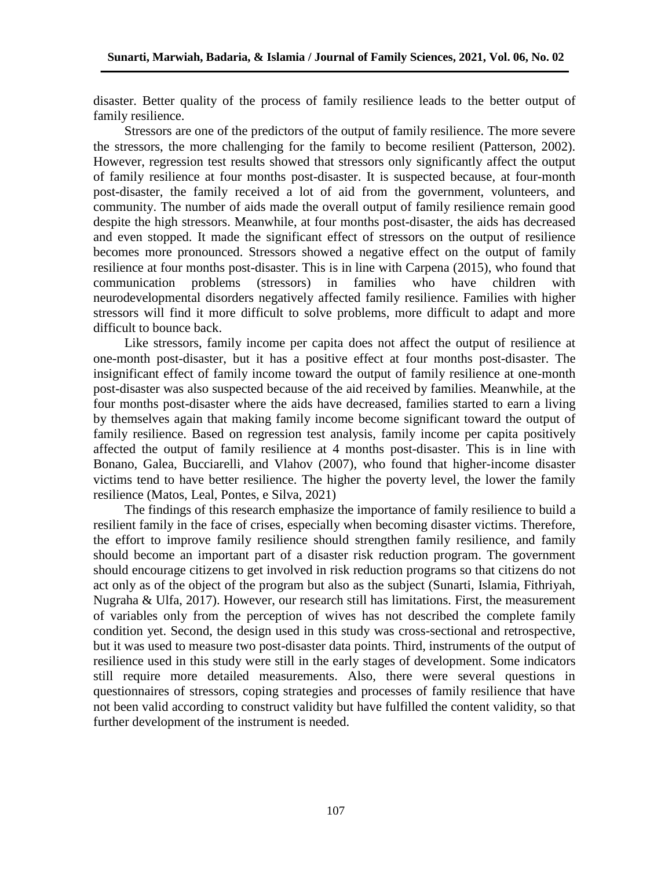disaster. Better quality of the process of family resilience leads to the better output of family resilience.

Stressors are one of the predictors of the output of family resilience. The more severe the stressors, the more challenging for the family to become resilient (Patterson, 2002). However, regression test results showed that stressors only significantly affect the output of family resilience at four months post-disaster. It is suspected because, at four-month post-disaster, the family received a lot of aid from the government, volunteers, and community. The number of aids made the overall output of family resilience remain good despite the high stressors. Meanwhile, at four months post-disaster, the aids has decreased and even stopped. It made the significant effect of stressors on the output of resilience becomes more pronounced. Stressors showed a negative effect on the output of family resilience at four months post-disaster. This is in line with Carpena (2015), who found that communication problems (stressors) in families who have children with neurodevelopmental disorders negatively affected family resilience. Families with higher stressors will find it more difficult to solve problems, more difficult to adapt and more difficult to bounce back.

Like stressors, family income per capita does not affect the output of resilience at one-month post-disaster, but it has a positive effect at four months post-disaster. The insignificant effect of family income toward the output of family resilience at one-month post-disaster was also suspected because of the aid received by families. Meanwhile, at the four months post-disaster where the aids have decreased, families started to earn a living by themselves again that making family income become significant toward the output of family resilience. Based on regression test analysis, family income per capita positively affected the output of family resilience at 4 months post-disaster. This is in line with Bonano, Galea, Bucciarelli, and Vlahov (2007), who found that higher-income disaster victims tend to have better resilience. The higher the poverty level, the lower the family resilience (Matos, Leal, Pontes, e Silva, 2021)

The findings of this research emphasize the importance of family resilience to build a resilient family in the face of crises, especially when becoming disaster victims. Therefore, the effort to improve family resilience should strengthen family resilience, and family should become an important part of a disaster risk reduction program. The government should encourage citizens to get involved in risk reduction programs so that citizens do not act only as of the object of the program but also as the subject (Sunarti, Islamia, Fithriyah, Nugraha & Ulfa, 2017). However, our research still has limitations. First, the measurement of variables only from the perception of wives has not described the complete family condition yet. Second, the design used in this study was cross-sectional and retrospective, but it was used to measure two post-disaster data points. Third, instruments of the output of resilience used in this study were still in the early stages of development. Some indicators still require more detailed measurements. Also, there were several questions in questionnaires of stressors, coping strategies and processes of family resilience that have not been valid according to construct validity but have fulfilled the content validity, so that further development of the instrument is needed.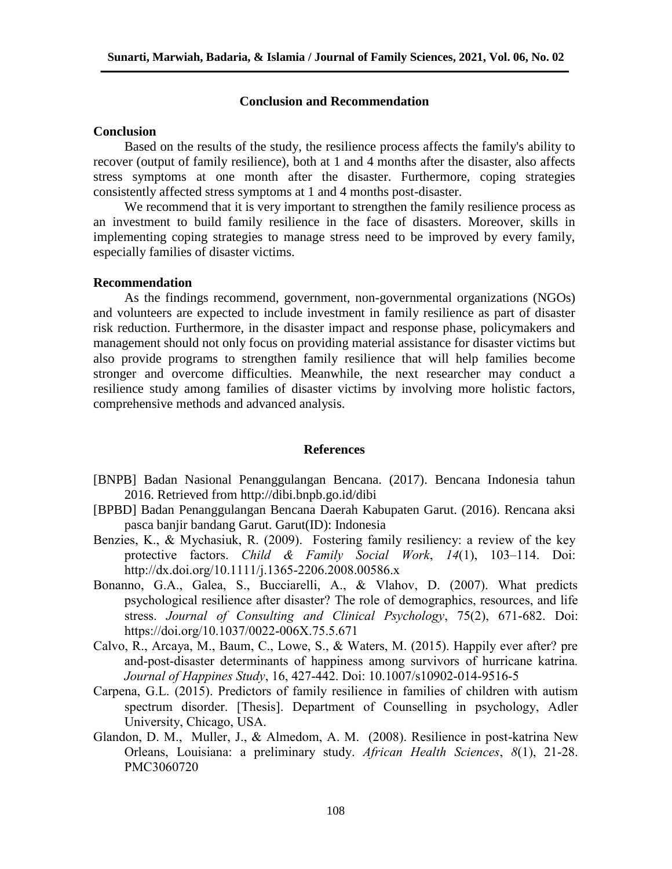### **Conclusion and Recommendation**

### **Conclusion**

Based on the results of the study, the resilience process affects the family's ability to recover (output of family resilience), both at 1 and 4 months after the disaster, also affects stress symptoms at one month after the disaster. Furthermore, coping strategies consistently affected stress symptoms at 1 and 4 months post-disaster.

We recommend that it is very important to strengthen the family resilience process as an investment to build family resilience in the face of disasters. Moreover, skills in implementing coping strategies to manage stress need to be improved by every family, especially families of disaster victims.

#### **Recommendation**

As the findings recommend, government, non-governmental organizations (NGOs) and volunteers are expected to include investment in family resilience as part of disaster risk reduction. Furthermore, in the disaster impact and response phase, policymakers and management should not only focus on providing material assistance for disaster victims but also provide programs to strengthen family resilience that will help families become stronger and overcome difficulties. Meanwhile, the next researcher may conduct a resilience study among families of disaster victims by involving more holistic factors, comprehensive methods and advanced analysis.

#### **References**

- [BNPB] Badan Nasional Penanggulangan Bencana. (2017). Bencana Indonesia tahun 2016. Retrieved from<http://dibi.bnpb.go.id/dibi>
- [BPBD] Badan Penanggulangan Bencana Daerah Kabupaten Garut. (2016). Rencana aksi pasca banjir bandang Garut. Garut(ID): Indonesia
- Benzies, K., & Mychasiuk, R. (2009). Fostering family resiliency: a review of the key protective factors. *Child & Family Social Work*, *14*(1), 103–114. Doi: http://dx.doi.org/10.1111/j.1365-2206.2008.00586.x
- Bonanno, G.A., Galea, S., Bucciarelli, A., & Vlahov, D. (2007). What predicts psychological resilience after disaster? The role of demographics, resources, and life stress. *Journal of Consulting and Clinical Psychology*, 75(2), 671-682. Doi: https://doi.org/10.1037/0022-006X.75.5.671
- Calvo, R., Arcaya, M., Baum, C., Lowe, S., & Waters, M. (2015). Happily ever after? pre and-post-disaster determinants of happiness among survivors of hurricane katrina*. Journal of Happines Study*, 16, 427-442. Doi: 10.1007/s10902-014-9516-5
- Carpena, G.L. (2015). Predictors of family resilience in families of children with autism spectrum disorder. [Thesis]. Department of Counselling in psychology, Adler University, Chicago, USA.
- Glandon, D. M., Muller, J., & Almedom, A. M. (2008). Resilience in post-katrina New Orleans, Louisiana: a preliminary study. *African Health Sciences*, *8*(1), 21-28. PMC3060720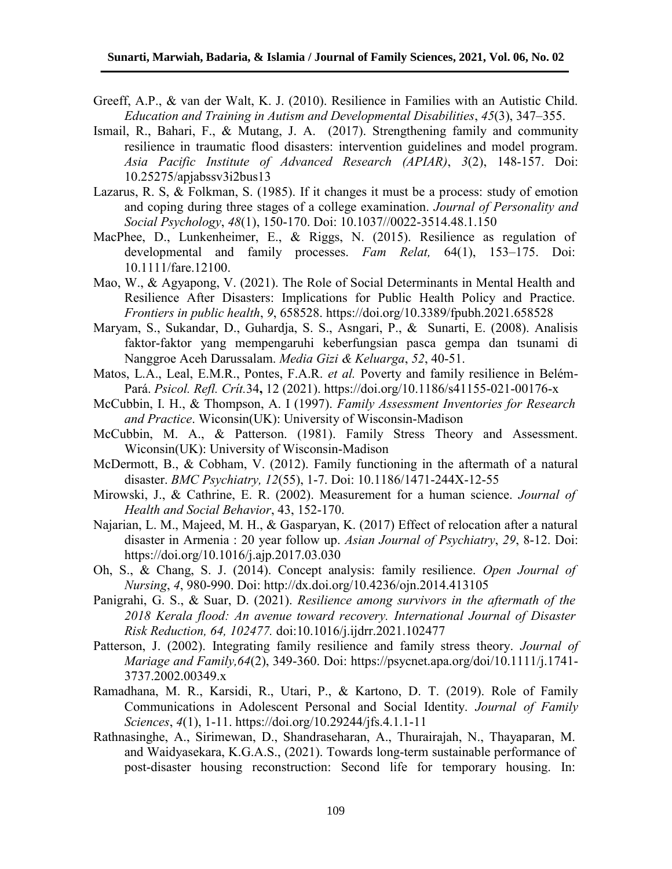- Greeff, A.P., & van der Walt, K. J. (2010). Resilience in Families with an Autistic Child. *Education and Training in Autism and Developmental Disabilities*, *45*(3), 347–355.
- Ismail, R., Bahari, F., & Mutang, J. A. (2017). Strengthening family and community resilience in traumatic flood disasters: intervention guidelines and model program. *Asia Pacific Institute of Advanced Research (APIAR)*, *3*(2), 148-157. Doi: 10.25275/apjabssv3i2bus13
- Lazarus, R. S, & Folkman, S. (1985). If it changes it must be a process: study of emotion and coping during three stages of a college examination. *Journal of Personality and Social Psychology*, *48*(1), 150-170. Doi: 10.1037//0022-3514.48.1.150
- MacPhee, D., Lunkenheimer, E., & Riggs, N. (2015). Resilience as regulation of developmental and family processes. *Fam Relat,* 64(1), 153–175. Doi: 10.1111/fare.12100.
- Mao, W., & Agyapong, V. (2021). The Role of Social Determinants in Mental Health and Resilience After Disasters: Implications for Public Health Policy and Practice. *Frontiers in public health*, *9*, 658528. https://doi.org/10.3389/fpubh.2021.658528
- Maryam, S., Sukandar, D., Guhardja, S. S., Asngari, P., & Sunarti, E. (2008). Analisis faktor-faktor yang mempengaruhi keberfungsian pasca gempa dan tsunami di Nanggroe Aceh Darussalam. *Media Gizi & Keluarga*, *52*, 40-51.
- Matos, L.A., Leal, E.M.R., Pontes, F.A.R. *et al.* Poverty and family resilience in Belém-Pará. *Psicol. Refl. Crít.*34**,** 12 (2021). https://doi.org/10.1186/s41155-021-00176-x
- McCubbin, I. H., & Thompson, A. I (1997). *Family Assessment Inventories for Research and Practice*. Wiconsin(UK): University of Wisconsin-Madison
- McCubbin, M. A., & Patterson. (1981). Family Stress Theory and Assessment. Wiconsin(UK): University of Wisconsin-Madison
- McDermott, B., & Cobham, V. (2012). Family functioning in the aftermath of a natural disaster. *BMC Psychiatry, 12*(55), 1-7. Doi: 10.1186/1471-244X-12-55
- Mirowski, J., & Cathrine, E. R. (2002). Measurement for a human science. *Journal of Health and Social Behavior*, 43, 152-170.
- Najarian, L. M., Majeed, M. H., & Gasparyan, K. (2017) Effect of relocation after a natural disaster in Armenia : 20 year follow up. *Asian Journal of Psychiatry*, *29*, 8-12. Doi: https://doi.org/10.1016/j.ajp.2017.03.030
- Oh, S., & Chang, S. J. (2014). Concept analysis: family resilience. *Open Journal of Nursing*, *4*, 980-990. Doi: http://dx.doi.org/10.4236/ojn.2014.413105
- Panigrahi, G. S., & Suar, D. (2021). *Resilience among survivors in the aftermath of the 2018 Kerala flood: An avenue toward recovery. International Journal of Disaster Risk Reduction, 64, 102477.* doi:10.1016/j.ijdrr.2021.102477
- Patterson, J. (2002). Integrating family resilience and family stress theory. *Journal of Mariage and Family,64*(2), 349-360. Doi: [https://psycnet.apa.org/doi/10.1111/j.1741-](https://psycnet.apa.org/doi/10.1111/j.1741-3737.2002.00349.x) [3737.2002.00349.x](https://psycnet.apa.org/doi/10.1111/j.1741-3737.2002.00349.x)
- Ramadhana, M. R., Karsidi, R., Utari, P., & Kartono, D. T. (2019). Role of Family Communications in Adolescent Personal and Social Identity. *Journal of Family Sciences*, *4*(1), 1-11. https://doi.org/10.29244/jfs.4.1.1-11
- Rathnasinghe, A., Sirimewan, D., Shandraseharan, A., Thurairajah, N., Thayaparan, M. and Waidyasekara, K.G.A.S., (2021). Towards long-term sustainable performance of post-disaster housing reconstruction: Second life for temporary housing. In: